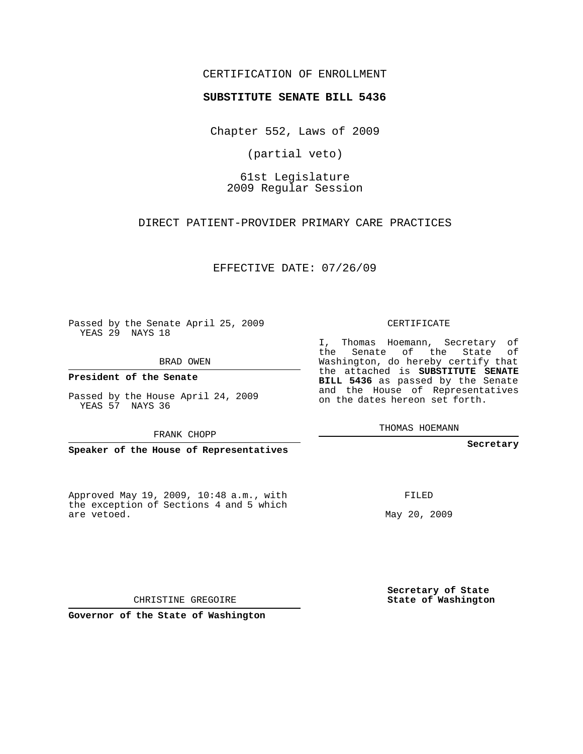## CERTIFICATION OF ENROLLMENT

## **SUBSTITUTE SENATE BILL 5436**

Chapter 552, Laws of 2009

(partial veto)

61st Legislature 2009 Regular Session

DIRECT PATIENT-PROVIDER PRIMARY CARE PRACTICES

EFFECTIVE DATE: 07/26/09

Passed by the Senate April 25, 2009 YEAS 29 NAYS 18

BRAD OWEN

**President of the Senate**

Passed by the House April 24, 2009 YEAS 57 NAYS 36

FRANK CHOPP

**Speaker of the House of Representatives**

Approved May 19, 2009, 10:48 a.m., with the exception of Sections 4 and 5 which are vetoed.

CERTIFICATE

I, Thomas Hoemann, Secretary of the Senate of the State of Washington, do hereby certify that the attached is **SUBSTITUTE SENATE BILL 5436** as passed by the Senate and the House of Representatives on the dates hereon set forth.

THOMAS HOEMANN

**Secretary**

FILED

May 20, 2009

**Secretary of State State of Washington**

CHRISTINE GREGOIRE

**Governor of the State of Washington**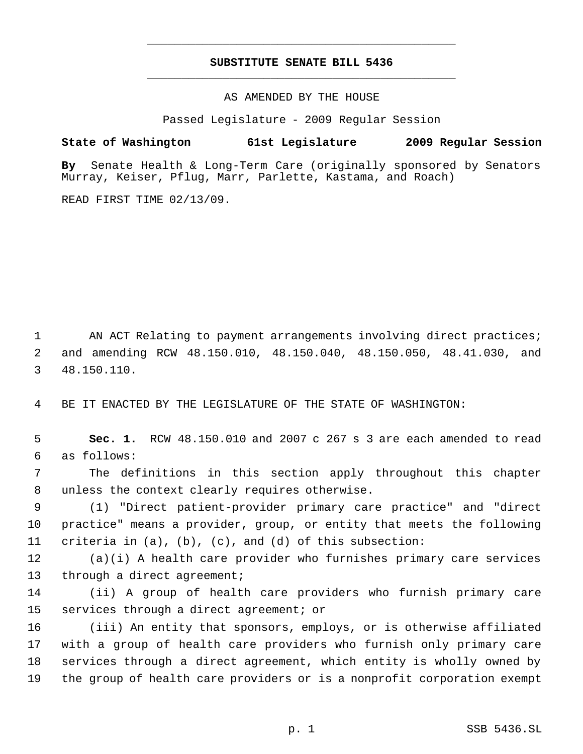## **SUBSTITUTE SENATE BILL 5436** \_\_\_\_\_\_\_\_\_\_\_\_\_\_\_\_\_\_\_\_\_\_\_\_\_\_\_\_\_\_\_\_\_\_\_\_\_\_\_\_\_\_\_\_\_

\_\_\_\_\_\_\_\_\_\_\_\_\_\_\_\_\_\_\_\_\_\_\_\_\_\_\_\_\_\_\_\_\_\_\_\_\_\_\_\_\_\_\_\_\_

AS AMENDED BY THE HOUSE

Passed Legislature - 2009 Regular Session

**State of Washington 61st Legislature 2009 Regular Session**

**By** Senate Health & Long-Term Care (originally sponsored by Senators Murray, Keiser, Pflug, Marr, Parlette, Kastama, and Roach)

READ FIRST TIME 02/13/09.

1 AN ACT Relating to payment arrangements involving direct practices; 2 and amending RCW 48.150.010, 48.150.040, 48.150.050, 48.41.030, and 3 48.150.110.

4 BE IT ENACTED BY THE LEGISLATURE OF THE STATE OF WASHINGTON:

 5 **Sec. 1.** RCW 48.150.010 and 2007 c 267 s 3 are each amended to read 6 as follows:

 7 The definitions in this section apply throughout this chapter 8 unless the context clearly requires otherwise.

 9 (1) "Direct patient-provider primary care practice" and "direct 10 practice" means a provider, group, or entity that meets the following 11 criteria in (a), (b), (c), and (d) of this subsection:

12 (a)(i) A health care provider who furnishes primary care services 13 through a direct agreement;

14 (ii) A group of health care providers who furnish primary care 15 services through a direct agreement; or

 (iii) An entity that sponsors, employs, or is otherwise affiliated with a group of health care providers who furnish only primary care services through a direct agreement, which entity is wholly owned by the group of health care providers or is a nonprofit corporation exempt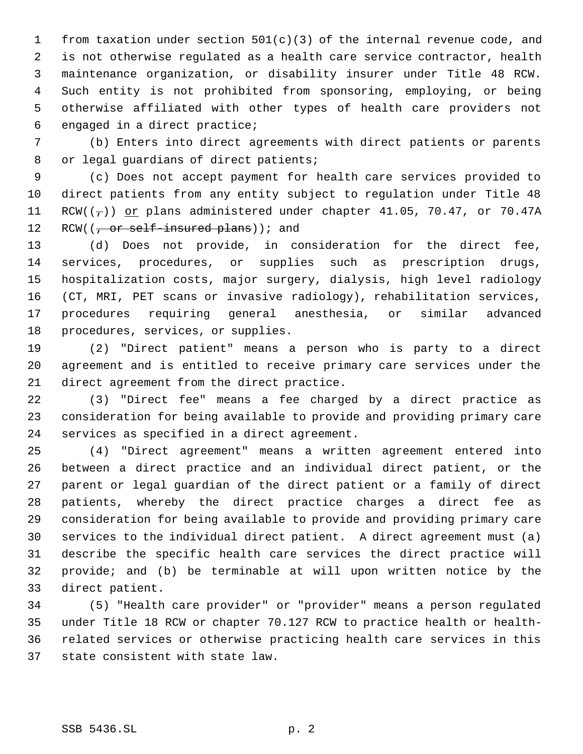from taxation under section 501(c)(3) of the internal revenue code, and is not otherwise regulated as a health care service contractor, health maintenance organization, or disability insurer under Title 48 RCW. Such entity is not prohibited from sponsoring, employing, or being otherwise affiliated with other types of health care providers not engaged in a direct practice;

 (b) Enters into direct agreements with direct patients or parents 8 or legal guardians of direct patients;

 (c) Does not accept payment for health care services provided to direct patients from any entity subject to regulation under Title 48 11 RCW( $(\frac{\tau}{l})$ ) or plans administered under chapter 41.05, 70.47, or 70.47A 12 RCW( $\left(\frac{1}{f} \text{ or self-insured plans}\right)$ ); and

 (d) Does not provide, in consideration for the direct fee, services, procedures, or supplies such as prescription drugs, hospitalization costs, major surgery, dialysis, high level radiology (CT, MRI, PET scans or invasive radiology), rehabilitation services, procedures requiring general anesthesia, or similar advanced procedures, services, or supplies.

 (2) "Direct patient" means a person who is party to a direct agreement and is entitled to receive primary care services under the direct agreement from the direct practice.

 (3) "Direct fee" means a fee charged by a direct practice as consideration for being available to provide and providing primary care services as specified in a direct agreement.

 (4) "Direct agreement" means a written agreement entered into between a direct practice and an individual direct patient, or the parent or legal guardian of the direct patient or a family of direct patients, whereby the direct practice charges a direct fee as consideration for being available to provide and providing primary care services to the individual direct patient. A direct agreement must (a) describe the specific health care services the direct practice will provide; and (b) be terminable at will upon written notice by the direct patient.

 (5) "Health care provider" or "provider" means a person regulated under Title 18 RCW or chapter 70.127 RCW to practice health or health- related services or otherwise practicing health care services in this state consistent with state law.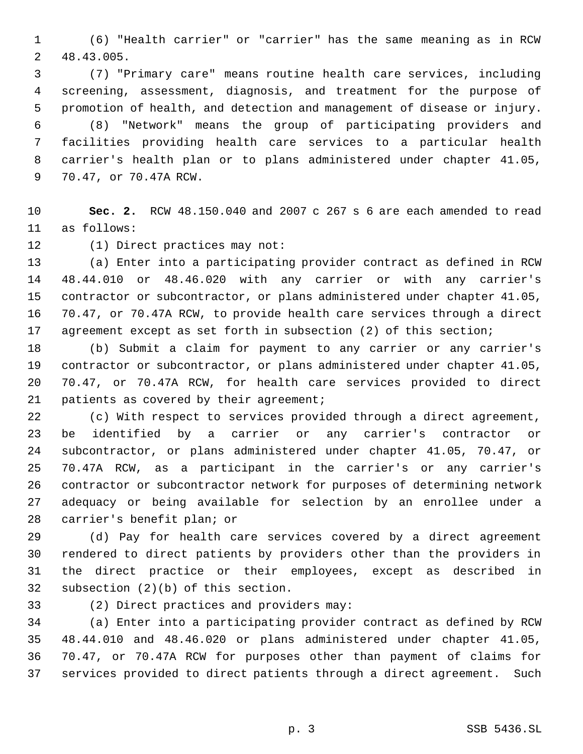(6) "Health carrier" or "carrier" has the same meaning as in RCW 48.43.005.

 (7) "Primary care" means routine health care services, including screening, assessment, diagnosis, and treatment for the purpose of promotion of health, and detection and management of disease or injury. (8) "Network" means the group of participating providers and facilities providing health care services to a particular health carrier's health plan or to plans administered under chapter 41.05, 70.47, or 70.47A RCW.

 **Sec. 2.** RCW 48.150.040 and 2007 c 267 s 6 are each amended to read as follows:

(1) Direct practices may not:

 (a) Enter into a participating provider contract as defined in RCW 48.44.010 or 48.46.020 with any carrier or with any carrier's contractor or subcontractor, or plans administered under chapter 41.05, 70.47, or 70.47A RCW, to provide health care services through a direct agreement except as set forth in subsection (2) of this section;

 (b) Submit a claim for payment to any carrier or any carrier's contractor or subcontractor, or plans administered under chapter 41.05, 70.47, or 70.47A RCW, for health care services provided to direct 21 patients as covered by their agreement;

 (c) With respect to services provided through a direct agreement, be identified by a carrier or any carrier's contractor or subcontractor, or plans administered under chapter 41.05, 70.47, or 70.47A RCW, as a participant in the carrier's or any carrier's contractor or subcontractor network for purposes of determining network adequacy or being available for selection by an enrollee under a carrier's benefit plan; or

 (d) Pay for health care services covered by a direct agreement rendered to direct patients by providers other than the providers in the direct practice or their employees, except as described in subsection (2)(b) of this section.

(2) Direct practices and providers may:

 (a) Enter into a participating provider contract as defined by RCW 48.44.010 and 48.46.020 or plans administered under chapter 41.05, 70.47, or 70.47A RCW for purposes other than payment of claims for services provided to direct patients through a direct agreement. Such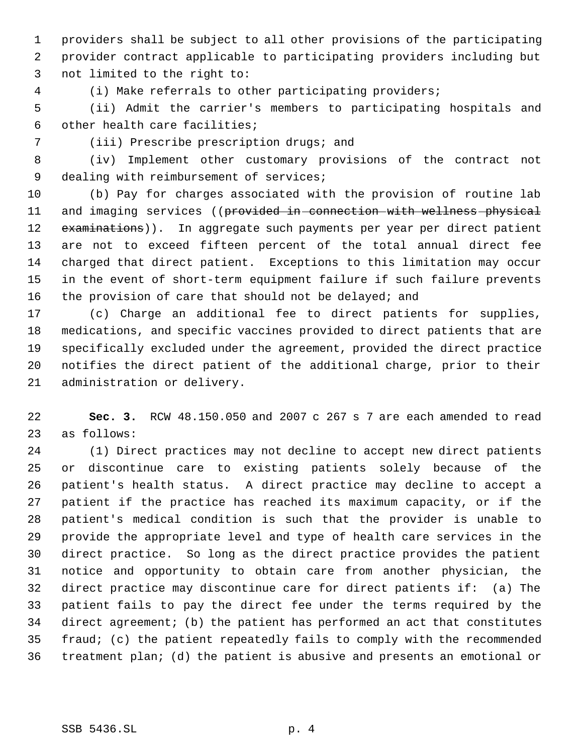providers shall be subject to all other provisions of the participating provider contract applicable to participating providers including but not limited to the right to:

(i) Make referrals to other participating providers;

 (ii) Admit the carrier's members to participating hospitals and other health care facilities;

(iii) Prescribe prescription drugs; and

 (iv) Implement other customary provisions of the contract not 9 dealing with reimbursement of services;

 (b) Pay for charges associated with the provision of routine lab 11 and imaging services ((provided in connection with wellness physical 12 examinations)). In aggregate such payments per year per direct patient are not to exceed fifteen percent of the total annual direct fee charged that direct patient. Exceptions to this limitation may occur in the event of short-term equipment failure if such failure prevents 16 the provision of care that should not be delayed; and

 (c) Charge an additional fee to direct patients for supplies, medications, and specific vaccines provided to direct patients that are specifically excluded under the agreement, provided the direct practice notifies the direct patient of the additional charge, prior to their administration or delivery.

 **Sec. 3.** RCW 48.150.050 and 2007 c 267 s 7 are each amended to read as follows:

 (1) Direct practices may not decline to accept new direct patients or discontinue care to existing patients solely because of the patient's health status. A direct practice may decline to accept a patient if the practice has reached its maximum capacity, or if the patient's medical condition is such that the provider is unable to provide the appropriate level and type of health care services in the direct practice. So long as the direct practice provides the patient notice and opportunity to obtain care from another physician, the direct practice may discontinue care for direct patients if: (a) The patient fails to pay the direct fee under the terms required by the direct agreement; (b) the patient has performed an act that constitutes fraud; (c) the patient repeatedly fails to comply with the recommended treatment plan; (d) the patient is abusive and presents an emotional or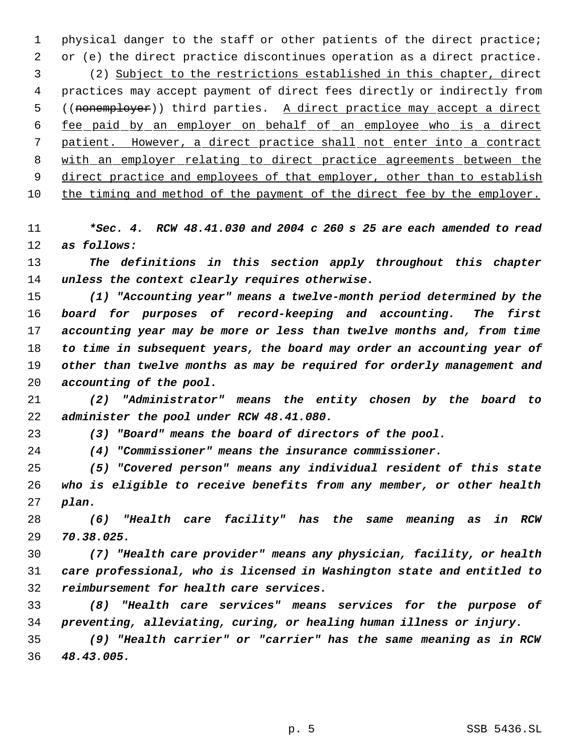physical danger to the staff or other patients of the direct practice; or (e) the direct practice discontinues operation as a direct practice. (2) Subject to the restrictions established in this chapter, direct practices may accept payment of direct fees directly or indirectly from 5 ((nonemployer)) third parties. A direct practice may accept a direct fee paid by an employer on behalf of an employee who is a direct patient. However, a direct practice shall not enter into a contract with an employer relating to direct practice agreements between the 9 direct practice and employees of that employer, other than to establish the timing and method of the payment of the direct fee by the employer.

 *\*Sec. 4. RCW 48.41.030 and 2004 c 260 s 25 are each amended to read as follows:*

 *The definitions in this section apply throughout this chapter unless the context clearly requires otherwise.*

 *(1) "Accounting year" means a twelve-month period determined by the board for purposes of record-keeping and accounting. The first accounting year may be more or less than twelve months and, from time to time in subsequent years, the board may order an accounting year of other than twelve months as may be required for orderly management and accounting of the pool.*

 *(2) "Administrator" means the entity chosen by the board to administer the pool under RCW 48.41.080.*

*(3) "Board" means the board of directors of the pool.*

*(4) "Commissioner" means the insurance commissioner.*

 *(5) "Covered person" means any individual resident of this state who is eligible to receive benefits from any member, or other health plan.*

 *(6) "Health care facility" has the same meaning as in RCW 70.38.025.*

 *(7) "Health care provider" means any physician, facility, or health care professional, who is licensed in Washington state and entitled to reimbursement for health care services.*

 *(8) "Health care services" means services for the purpose of preventing, alleviating, curing, or healing human illness or injury.*

 *(9) "Health carrier" or "carrier" has the same meaning as in RCW 48.43.005.*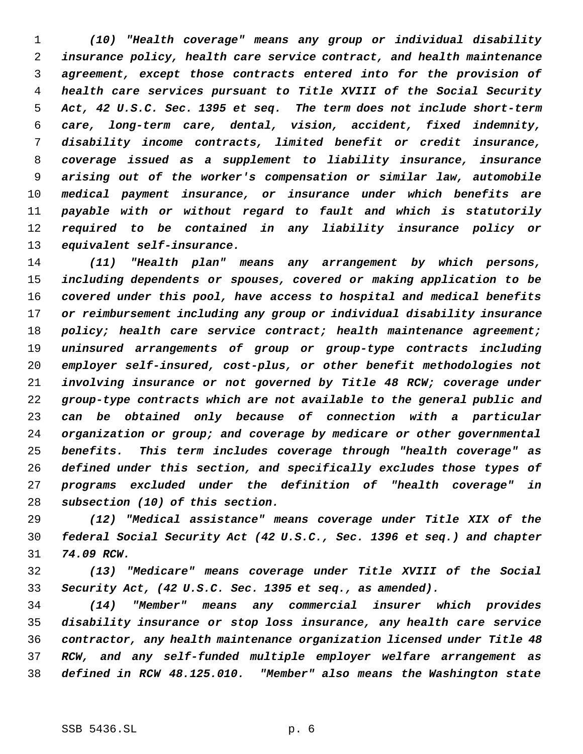*(10) "Health coverage" means any group or individual disability insurance policy, health care service contract, and health maintenance agreement, except those contracts entered into for the provision of health care services pursuant to Title XVIII of the Social Security Act, 42 U.S.C. Sec. 1395 et seq. The term does not include short-term care, long-term care, dental, vision, accident, fixed indemnity, disability income contracts, limited benefit or credit insurance, coverage issued as a supplement to liability insurance, insurance arising out of the worker's compensation or similar law, automobile medical payment insurance, or insurance under which benefits are payable with or without regard to fault and which is statutorily required to be contained in any liability insurance policy or equivalent self-insurance.*

 *(11) "Health plan" means any arrangement by which persons, including dependents or spouses, covered or making application to be covered under this pool, have access to hospital and medical benefits or reimbursement including any group or individual disability insurance policy; health care service contract; health maintenance agreement; uninsured arrangements of group or group-type contracts including employer self-insured, cost-plus, or other benefit methodologies not involving insurance or not governed by Title 48 RCW; coverage under group-type contracts which are not available to the general public and can be obtained only because of connection with a particular organization or group; and coverage by medicare or other governmental benefits. This term includes coverage through "health coverage" as defined under this section, and specifically excludes those types of programs excluded under the definition of "health coverage" in subsection (10) of this section.*

 *(12) "Medical assistance" means coverage under Title XIX of the federal Social Security Act (42 U.S.C., Sec. 1396 et seq.) and chapter 74.09 RCW.*

 *(13) "Medicare" means coverage under Title XVIII of the Social Security Act, (42 U.S.C. Sec. 1395 et seq., as amended).*

 *(14) "Member" means any commercial insurer which provides disability insurance or stop loss insurance, any health care service contractor, any health maintenance organization licensed under Title 48 RCW, and any self-funded multiple employer welfare arrangement as defined in RCW 48.125.010. "Member" also means the Washington state*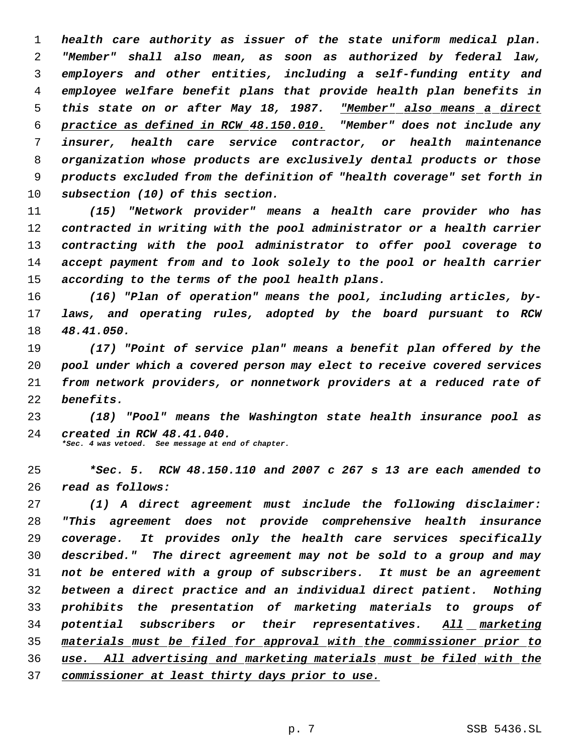*health care authority as issuer of the state uniform medical plan. "Member" shall also mean, as soon as authorized by federal law, employers and other entities, including a self-funding entity and employee welfare benefit plans that provide health plan benefits in this state on or after May 18, 1987. "Member" also means a direct practice as defined in RCW 48.150.010. "Member" does not include any insurer, health care service contractor, or health maintenance organization whose products are exclusively dental products or those products excluded from the definition of "health coverage" set forth in subsection (10) of this section.*

 *(15) "Network provider" means a health care provider who has contracted in writing with the pool administrator or a health carrier contracting with the pool administrator to offer pool coverage to accept payment from and to look solely to the pool or health carrier according to the terms of the pool health plans.*

 *(16) "Plan of operation" means the pool, including articles, by- laws, and operating rules, adopted by the board pursuant to RCW 48.41.050.*

 *(17) "Point of service plan" means a benefit plan offered by the pool under which a covered person may elect to receive covered services from network providers, or nonnetwork providers at a reduced rate of benefits.*

 *(18) "Pool" means the Washington state health insurance pool as created in RCW 48.41.040. \*Sec. 4 was vetoed. See message at end of chapter.*

 *\*Sec. 5. RCW 48.150.110 and 2007 c 267 s 13 are each amended to read as follows:*

 *(1) A direct agreement must include the following disclaimer: "This agreement does not provide comprehensive health insurance coverage. It provides only the health care services specifically described." The direct agreement may not be sold to a group and may not be entered with a group of subscribers. It must be an agreement between a direct practice and an individual direct patient. Nothing prohibits the presentation of marketing materials to groups of potential subscribers or their representatives. All marketing materials must be filed for approval with the commissioner prior to use. All advertising and marketing materials must be filed with the commissioner at least thirty days prior to use.*